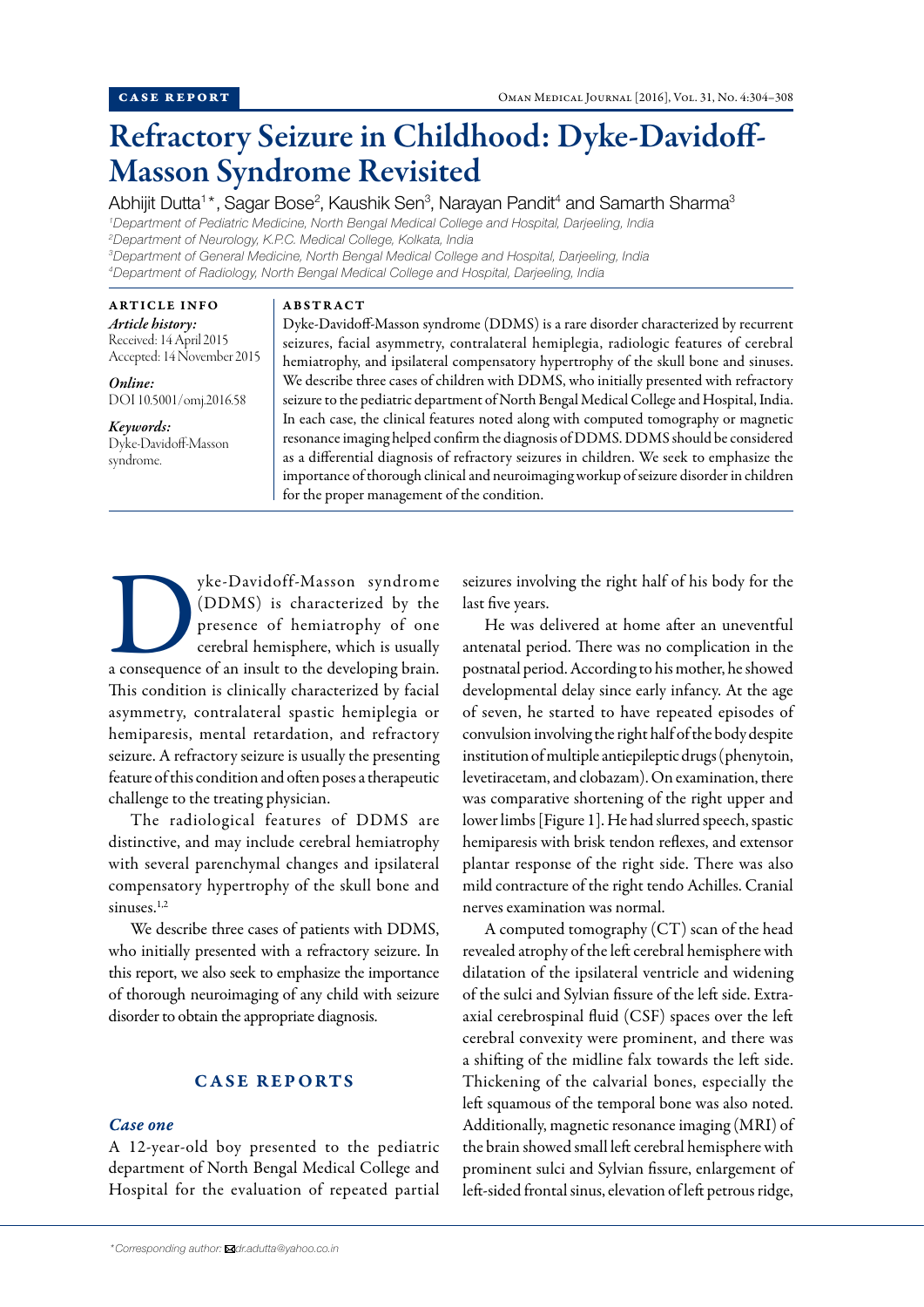# Refractory Seizure in Childhood: Dyke-Davidoff-Masson Syndrome Revisited

Abhijit Dutta<sup>1</sup>\*, Sagar Bose<sup>2</sup>, Kaushik Sen<sup>3</sup>, Narayan Pandit<sup>4</sup> and Samarth Sharma<sup>3</sup>

*1 Department of Pediatric Medicine, North Bengal Medical College and Hospital, Darjeeling, India 2 Department of Neurology, K.P.C. Medical College, Kolkata, India 3 Department of General Medicine, North Bengal Medical College and Hospital, Darjeeling, India*

*4 Department of Radiology, North Bengal Medical College and Hospital, Darjeeling, India*

ABSTRACT

ARTICLE INFO *Article history:* Received: 14 April 2015 Accepted: 14 November 2015

*Online:* DOI 10.5001/omj.2016.58

*Keywords:* Dyke-Davidoff-Masson syndrome.

Dyke-Davidoff-Masson syndrome (DDMS) is a rare disorder characterized by recurrent seizures, facial asymmetry, contralateral hemiplegia, radiologic features of cerebral hemiatrophy, and ipsilateral compensatory hypertrophy of the skull bone and sinuses. We describe three cases of children with DDMS, who initially presented with refractory seizure to the pediatric department of North Bengal Medical College and Hospital, India. In each case, the clinical features noted along with computed tomography or magnetic resonance imaging helped confirm the diagnosis of DDMS. DDMS should be considered as a differential diagnosis of refractory seizures in children. We seek to emphasize the importance of thorough clinical and neuroimaging workup of seizure disorder in children for the proper management of the condition.

yke-Davidoff-Masson syndrome (DDMS) is characterized by the presence of hemiatrophy of one cerebral hemisphere, which is usually a consequence of an insult to the developing brain. (DDMS) is characterized by the presence of hemiatrophy of one cerebral hemisphere, which is usually This condition is clinically characterized by facial asymmetry, contralateral spastic hemiplegia or hemiparesis, mental retardation, and refractory seizure. A refractory seizure is usually the presenting feature of this condition and often poses a therapeutic challenge to the treating physician.

The radiological features of DDMS are distinctive, and may include cerebral hemiatrophy with several parenchymal changes and ipsilateral compensatory hypertrophy of the skull bone and sinuses. $1,2$ 

We describe three cases of patients with DDMS, who initially presented with a refractory seizure. In this report, we also seek to emphasize the importance of thorough neuroimaging of any child with seizure disorder to obtain the appropriate diagnosis.

# CASE REPORTS

#### *Case one*

A 12-year-old boy presented to the pediatric department of North Bengal Medical College and Hospital for the evaluation of repeated partial seizures involving the right half of his body for the last five years.

He was delivered at home after an uneventful antenatal period. There was no complication in the postnatal period. According to his mother, he showed developmental delay since early infancy. At the age of seven, he started to have repeated episodes of convulsion involving the right half of the body despite institution of multiple antiepileptic drugs (phenytoin, levetiracetam, and clobazam). On examination, there was comparative shortening of the right upper and lower limbs [Figure 1]. He had slurred speech, spastic hemiparesis with brisk tendon reflexes, and extensor plantar response of the right side. There was also mild contracture of the right tendo Achilles. Cranial nerves examination was normal.

A computed tomography (CT) scan of the head revealed atrophy of the left cerebral hemisphere with dilatation of the ipsilateral ventricle and widening of the sulci and Sylvian fissure of the left side. Extraaxial cerebrospinal fluid (CSF) spaces over the left cerebral convexity were prominent, and there was a shifting of the midline falx towards the left side. Thickening of the calvarial bones, especially the left squamous of the temporal bone was also noted. Additionally, magnetic resonance imaging (MRI) of the brain showed small left cerebral hemisphere with prominent sulci and Sylvian fissure, enlargement of left-sided frontal sinus, elevation of left petrous ridge,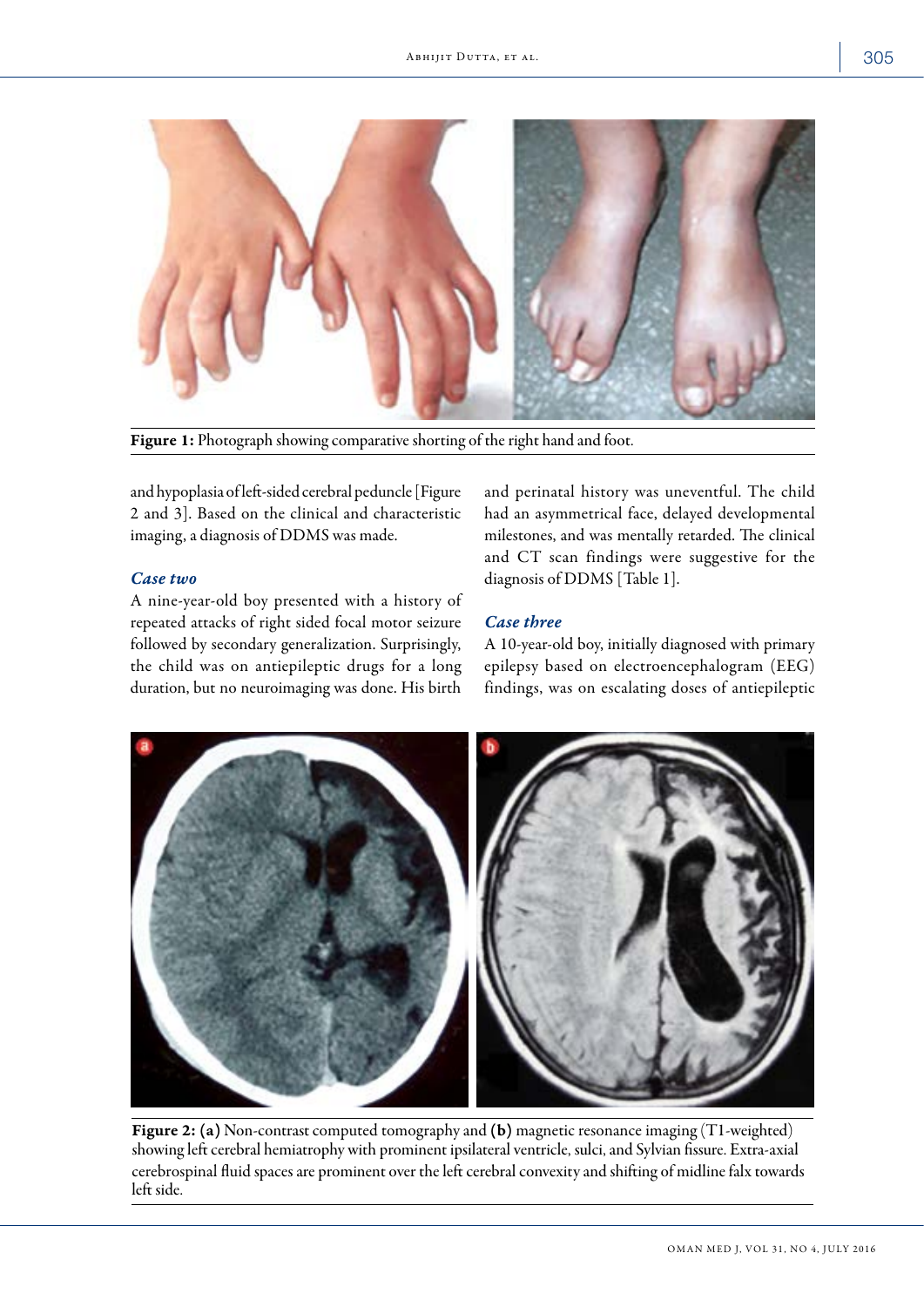

Figure 1: Photograph showing comparative shorting of the right hand and foot.

and hypoplasia of left-sided cerebral peduncle [Figure 2 and 3]. Based on the clinical and characteristic imaging, a diagnosis of DDMS was made.

## *Case two*

A nine-year-old boy presented with a history of repeated attacks of right sided focal motor seizure followed by secondary generalization. Surprisingly, the child was on antiepileptic drugs for a long duration, but no neuroimaging was done. His birth

and perinatal history was uneventful. The child had an asymmetrical face, delayed developmental milestones, and was mentally retarded. The clinical and CT scan findings were suggestive for the diagnosis of DDMS [Table 1].

# *Case three*

A 10-year-old boy, initially diagnosed with primary epilepsy based on electroencephalogram (EEG) findings, was on escalating doses of antiepileptic



Figure 2: (a) Non-contrast computed tomography and (b) magnetic resonance imaging (T1-weighted) showing left cerebral hemiatrophy with prominent ipsilateral ventricle, sulci, and Sylvian fissure. Extra-axial cerebrospinal fluid spaces are prominent over the left cerebral convexity and shifting of midline falx towards left side.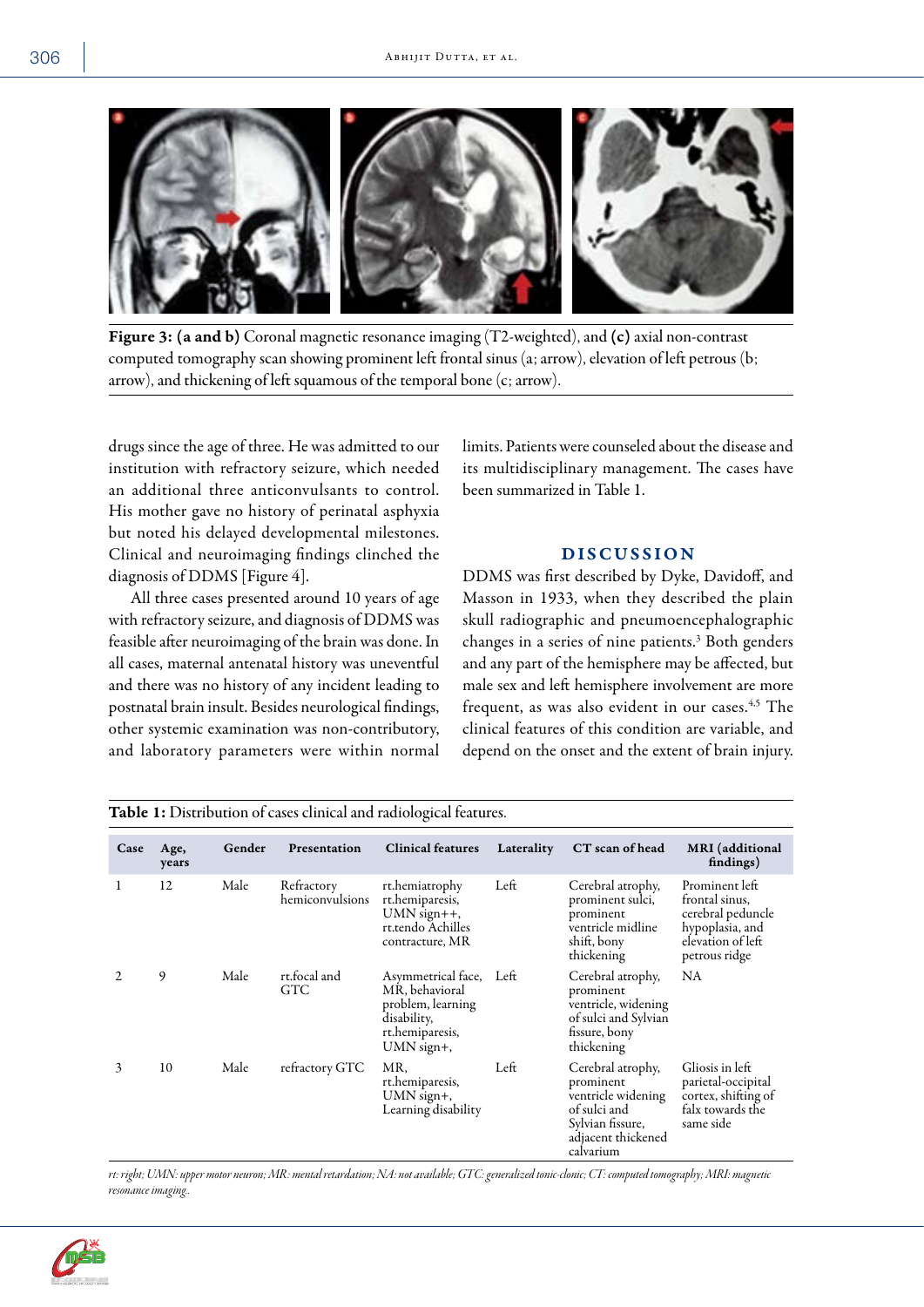

Figure 3: (a and b) Coronal magnetic resonance imaging (T2-weighted), and (c) axial non-contrast computed tomography scan showing prominent left frontal sinus (a; arrow), elevation of left petrous (b; arrow), and thickening of left squamous of the temporal bone (c; arrow).

drugs since the age of three. He was admitted to our institution with refractory seizure, which needed an additional three anticonvulsants to control. His mother gave no history of perinatal asphyxia but noted his delayed developmental milestones. Clinical and neuroimaging findings clinched the diagnosis of DDMS [Figure 4].

All three cases presented around 10 years of age with refractory seizure, and diagnosis of DDMS was feasible after neuroimaging of the brain was done. In all cases, maternal antenatal history was uneventful and there was no history of any incident leading to postnatal brain insult. Besides neurological findings, other systemic examination was non-contributory, and laboratory parameters were within normal limits. Patients were counseled about the disease and its multidisciplinary management. The cases have been summarized in Table 1.

## **DISCUSSION**

DDMS was first described by Dyke, Davidoff, and Masson in 1933, when they described the plain skull radiographic and pneumoencephalographic changes in a series of nine patients.<sup>3</sup> Both genders and any part of the hemisphere may be affected, but male sex and left hemisphere involvement are more frequent, as was also evident in our cases.<sup>4,5</sup> The clinical features of this condition are variable, and depend on the onset and the extent of brain injury.

| Table 1: Distribution of cases clinical and radiological features. |               |        |                               |                                                                                                           |            |                                                                                                                             |                                                                                                                |  |
|--------------------------------------------------------------------|---------------|--------|-------------------------------|-----------------------------------------------------------------------------------------------------------|------------|-----------------------------------------------------------------------------------------------------------------------------|----------------------------------------------------------------------------------------------------------------|--|
| Case                                                               | Age,<br>years | Gender | Presentation                  | <b>Clinical features</b>                                                                                  | Laterality | CT scan of head                                                                                                             | <b>MRI</b> (additional<br>findings)                                                                            |  |
| 1                                                                  | 12            | Male   | Refractory<br>hemiconvulsions | rt.hemiatrophy<br>rt.hemiparesis,<br>$UMN$ sign++,<br>rt.tendo Achilles<br>contracture, MR                | Left       | Cerebral atrophy,<br>prominent sulci,<br>prominent<br>ventricle midline<br>shift, bony<br>thickening                        | Prominent left<br>frontal sinus,<br>cerebral peduncle<br>hypoplasia, and<br>elevation of left<br>petrous ridge |  |
|                                                                    | 9             | Male   | rt.focal and<br>GTC.          | Asymmetrical face,<br>MR, behavioral<br>problem, learning<br>disability,<br>rt.hemiparesis,<br>UMN sign+, | Left       | Cerebral atrophy,<br>prominent<br>ventricle, widening<br>of sulci and Sylvian<br>fissure, bony<br>thickening                | NA.                                                                                                            |  |
| 3                                                                  | 10            | Male   | refractory GTC                | MR.<br>rt.hemiparesis,<br>UMN sign+,<br>Learning disability                                               | Left       | Cerebral atrophy,<br>prominent<br>ventricle widening<br>of sulci and<br>Sylvian fissure,<br>adjacent thickened<br>calvarium | Gliosis in left<br>parietal-occipital<br>cortex, shifting of<br>falx towards the<br>same side                  |  |

*rt: right; UMN: upper motor neuron; MR: mental retardation; NA: not available; GTC: generalized tonic-clonic; CT: computed tomography; MRI: magnetic resonance imaging..*

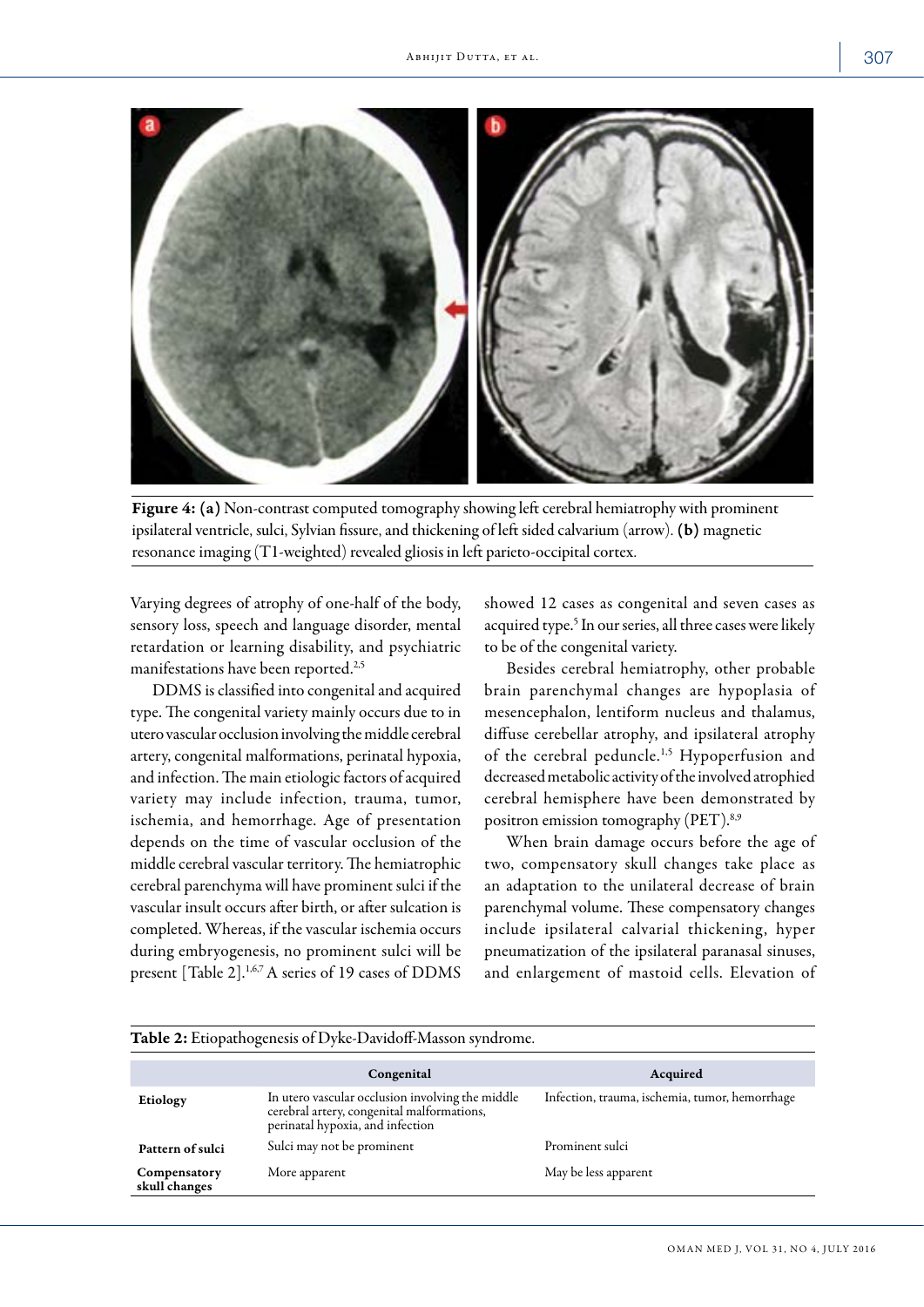

Figure 4: (a) Non-contrast computed tomography showing left cerebral hemiatrophy with prominent ipsilateral ventricle, sulci, Sylvian fissure, and thickening of left sided calvarium (arrow). (b) magnetic resonance imaging (T1-weighted) revealed gliosis in left parieto-occipital cortex.

Varying degrees of atrophy of one-half of the body, sensory loss, speech and language disorder, mental retardation or learning disability, and psychiatric manifestations have been reported.<sup>2,5</sup>

DDMS is classified into congenital and acquired type. The congenital variety mainly occurs due to in utero vascular occlusion involving the middle cerebral artery, congenital malformations, perinatal hypoxia, and infection. The main etiologic factors of acquired variety may include infection, trauma, tumor, ischemia, and hemorrhage. Age of presentation depends on the time of vascular occlusion of the middle cerebral vascular territory. The hemiatrophic cerebral parenchyma will have prominent sulci if the vascular insult occurs after birth, or after sulcation is completed. Whereas, if the vascular ischemia occurs during embryogenesis, no prominent sulci will be present [Table 2].<sup>1,6,7</sup> A series of 19 cases of DDMS

showed 12 cases as congenital and seven cases as acquired type.<sup>5</sup> In our series, all three cases were likely to be of the congenital variety.

Besides cerebral hemiatrophy, other probable brain parenchymal changes are hypoplasia of mesencephalon, lentiform nucleus and thalamus, diffuse cerebellar atrophy, and ipsilateral atrophy of the cerebral peduncle.<sup>1,5</sup> Hypoperfusion and decreased metabolic activity of the involved atrophied cerebral hemisphere have been demonstrated by positron emission tomography (PET).8,9

When brain damage occurs before the age of two, compensatory skull changes take place as an adaptation to the unilateral decrease of brain parenchymal volume. These compensatory changes include ipsilateral calvarial thickening, hyper pneumatization of the ipsilateral paranasal sinuses, and enlargement of mastoid cells. Elevation of

| <b>Table 2:</b> Etiopathogenesis of Dyke-Davidoff-Masson syndrome. |                                                                                                                                    |                                                |  |  |  |  |
|--------------------------------------------------------------------|------------------------------------------------------------------------------------------------------------------------------------|------------------------------------------------|--|--|--|--|
|                                                                    | Congenital                                                                                                                         | Acquired                                       |  |  |  |  |
| Etiology                                                           | In utero vascular occlusion involving the middle<br>cerebral artery, congenital malformations,<br>perinatal hypoxia, and infection | Infection, trauma, ischemia, tumor, hemorrhage |  |  |  |  |
| Pattern of sulci                                                   | Sulci may not be prominent                                                                                                         | Prominent sulci                                |  |  |  |  |
| Compensatory<br>skull changes                                      | More apparent                                                                                                                      | May be less apparent                           |  |  |  |  |

### Table 2: Etiopathogenesis of Dyke-Davidoff-Masson syndrome.